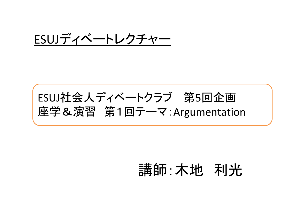### ESUJディベートレクチャー

## ESUJ社会人ディベートクラブ 第5回企画 座学&演習 第1回テーマ:Argumentation

## 講師:木地 利光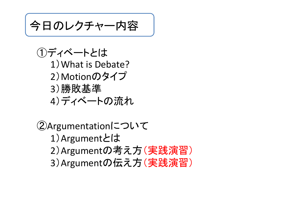今日のレクチャー内容

①ディベートとは 1 )What is Debate? 2)Motionのタイプ 3)勝敗基準 <sup>4</sup>)ディベートの流れ

```
②Argumentationについて
  1
)Argumentとは
  2
)Argumentの考え方(実践演習)
  3
)Argumentの伝え方(実践演習)
```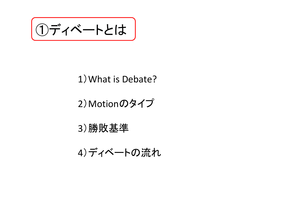ディベートとは

#### 1)What is Debate?

### 2 )Motionのタイプ

#### 3)勝敗基準

#### 4)ディベートの流れ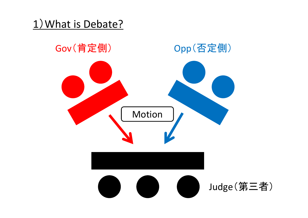### 1)What is Debate?

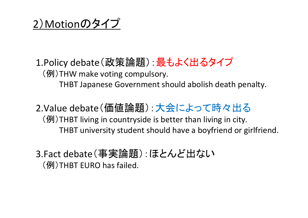<sup>2</sup>)Motionのタイプ

1.Policy debate(政策論題):最もよく出るタイプ (例)THW make voting compulsory. THBT Japanese Government should abolish death penalty.

2.Value debate(価値論題):大会によって時々出る (例)THBT living in countryside is better than living in city. THBT university student should have <sup>a</sup> boyfriend or girlfriend.

3.Fact debate(事実論題):ほとんど出ない (例)THBT EURO has failed.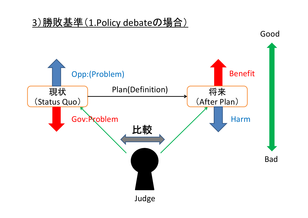#### 3)勝敗基準(1.Policy debateの場合)

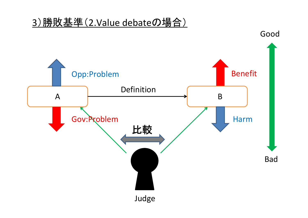#### 3)勝敗基準(2.Value debateの場合)

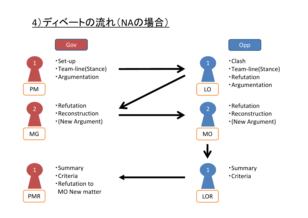### 4)ディベートの流れ (NAの場合)

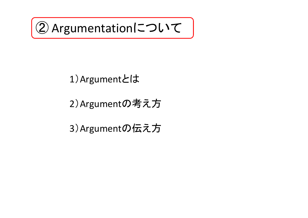

### )Argumentとは

)Argumentの考え方

)Argumentの伝え方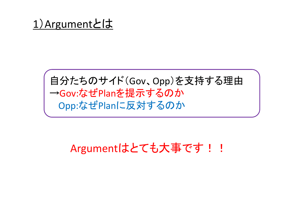### 自分たちのサイド(Gov、Opp)を支持する理由 →Gov:なぜPlanを提示するのか Opp:なぜPlanに反対するのか

### Argumentはとても大事です!!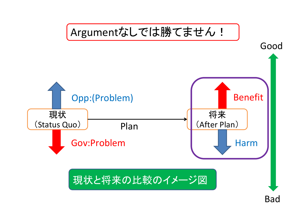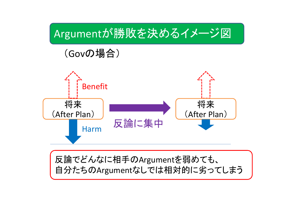





#### 反論でどんなに相手のArgumentを弱めても、 自分たちのArgumentなしでは相対的に劣ってしまう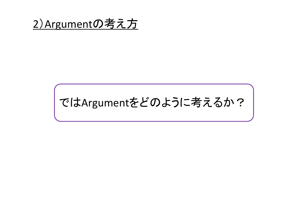

# ではArgumentをどのように考えるか?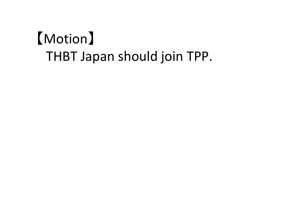# 【Motion 】 THBT Japan should join TPP.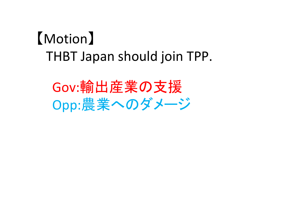# 【Motion】 THBT Japan should join TPP.

Gov:輸出産業の支援 Opp:農業へのダメージ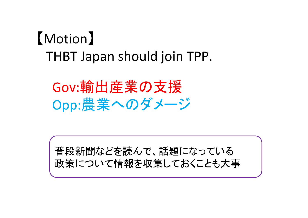# 【Motion】 THBT Japan should join TPP.

Gov:輸出産業の支援 Opp:農業へのダメージ

普段新聞などを読んで、話題になっている 政策について情報を収集しておくことも大事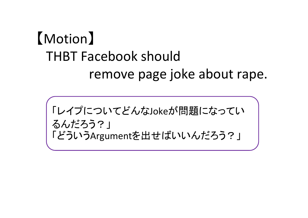「レイプについてどんなJokeが問題になってい るんだろう?」 「どういうArgumentを出せばいいんだろう?」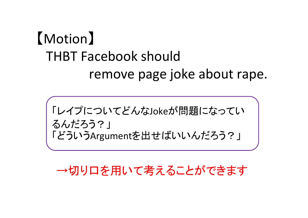「レイプについてどんなJokeが問題になってい るんだろう?」 「どういうArgumentを出せばいいんだろう?」

→切り口を用いて考えることができます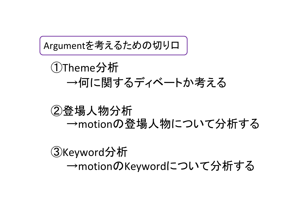Argumentを考えるための切り口

### ①Theme分析 →何に関するディベートか考える

### ②登場人物分析 <sup>→</sup>motionの登場人物について分析する

③Keyword分析 <sup>→</sup>motionのKeywordについて分析する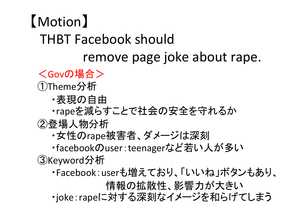<Govの場合>

①Theme分析

- ・表現の自由
- ・rapeを減らすことで社会の安全を守れるか

②登場人物分析

・女性のrape被害者、ダメージは深刻

・facebookのuser:teenagerなど若い人が多い ③Keyword分析

・Facebook:userも増えており、「いいね」ボタンもあり、

情報の拡散性、影響力が大きい

・joke:rapeに対する深刻なイメージを和らげてしまう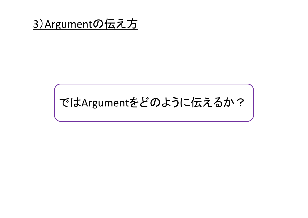### 3)Argumentの伝え方

# ではArgumentをどのように伝えるか?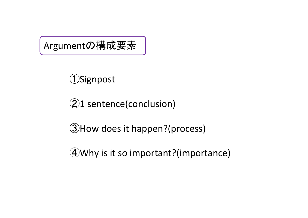Argumentの構成要素

### Signpost

<sup>1</sup> sentence(conclusion)

How does it happen?(process)

Why is it so important?(importance)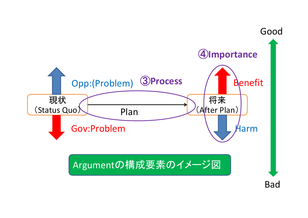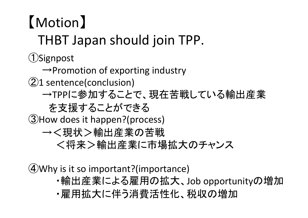## 【Motion】 THBT Japan should join TPP. ①Signpost  $\rightarrow$ Promotion of exporting industry ②<sup>1</sup> sentence(conclusion) <sup>→</sup>TPPに参加することで、現在苦戦している輸出産業 を支援することができる ③How does it happen?(process) →<現状>輸出産業の苦戦 <将来>輸出産業に市場拡大のチャンス

④Why is it so important?(importance)

- ・輸出産業による雇用の拡大、Job opportunityの増加
- ・雇用拡大に伴う消費活性化、税収の増加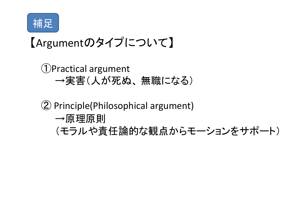

## 【Argumentのタイプについて】

①Practical argument →実害(人が死ぬ、 無職になる)

② Principle(Philosophical argument) →原理原則 (モラルや責任論的な観点からモーションをサポート)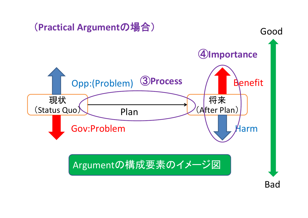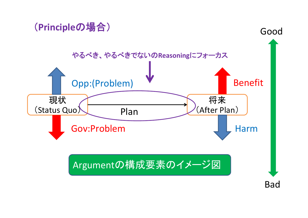### (**Principle**の場合)

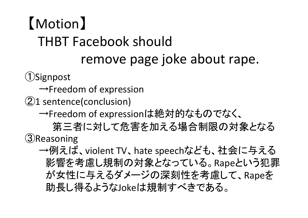①Signpost

- $\rightarrow$ Freedom of expression
- ②<sup>1</sup> sentence(conclusion)
	- →Freedom of expressionは絶対的なものでなく、

第三者に対して危害を加える場合制限の対象となる ③Reasoning

→例えば、violent TV、hate speechなども、社会に与える 影響を考慮し規制の対象となっている。Rapeという犯罪 が女性に与えるダメージの深刻性を考慮して、Rapeを 助長し得るようなJokeは規制すべきである。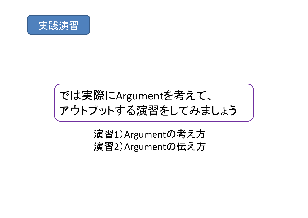

## では実際にArgumentを考えて、 アウトプットする演習をしてみましょう

### 演習1)Argumentの考え方 演習2)Argumentの伝え方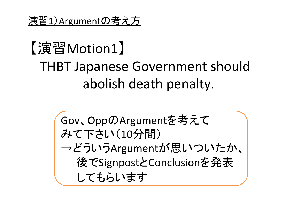Gov、OppのArgumentを考えて みて下さい(10分間) →どういうArgumentが思いついたか、 後でSignpostとConclusionを発表 してもらいます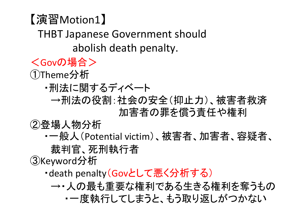<Govの場合>

①Theme分析

- ・刑法に関するディベート
	- →刑法の役割:社会の安全(抑止力)、被害者救済 加害者の罪を償う責任や権利

②登場人物分析

・一般人(Potential victim)、被害者、加害者、容疑者、 裁判官、死刑執行者

③Keyword分析

・death penalty(Govとして悪く分析する)

→・人の最も重要な権利である生きる権利を奪うもの ・一度執行してしまうと、もう取り返しがつかない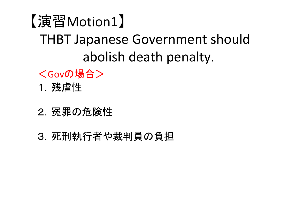- <Govの場合>
- 1.残虐性
- 2.冤罪の危険性
- 3.死刑執行者や裁判員の負担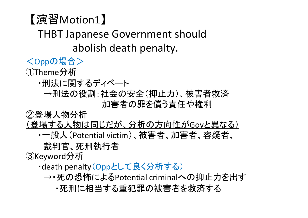- <Oppの場合> ①Theme分析
	- ・刑法に関するディベート
		- →刑法の役割:社会の安全(抑止力)、被害者救済 加害者の罪を償う責任や権利

②登場人物分析

- (登場する人物は同じだが、分析の方向性がGovと異なる)
	- ・一般人(Potential victim)、被害者、加害者、容疑者、

裁判官、死刑執行者

③Keyword分析

- ・death penalty(Oppとして良く分析する)
	- → 死の恐怖によるPotential criminalへの抑止力を出す
		- ・死刑に相当する重犯罪の被害者を救済する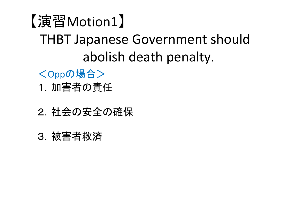- <Oppの場合>
- 1.加害者の責任
- 2.社会の安全の確保
- 3.被害者救済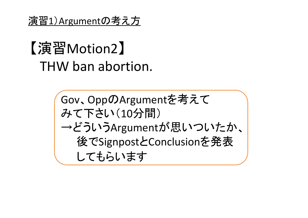演習1)Argumentの考え方

## 【演習Motion2】 THW ban abortion.

Gov、OppのArgumentを考えて みて下さい(10分間) →どういうArgumentが思いついたか、 後でSignpostとConclusionを発表 してもらいます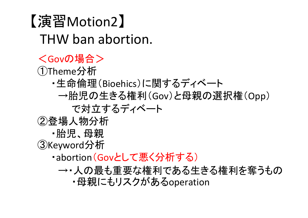### 【演習Motion2】 THW ban abortion. <Govの場合> ①Theme分析 ・生命倫理(Bioehics)に関するディベート →胎児の生きる権利(Gov)と母親の選択権(Opp) で対立するディベート ②登場人物分析 ・胎児、母親 ③Keyword分析 ・abortion(Govとして悪く分析する) →・人の最も重要な権利である生きる権利を奪うもの

・母親にもリスクがあるoperation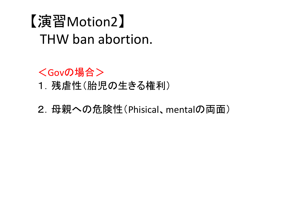## 【演習Motion2】 THW ban abortion.

<Govの場合>

1.残虐性(胎児の生きる権利)

2. 母親への危険性(Phisical、mentalの両面)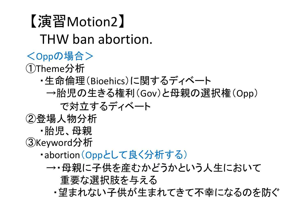【演習Motion2】 THW ban abortion. <Oppの場合> ①Theme分析 ・生命倫理(Bioehics)に関するディベート →胎児の生きる権利(Gov)と母親の選択権(Opp) で対立するディベート ②登場人物分析 ・胎児、母親 ③Keyword分析 ・abortion(Oppとして良く分析する) →・母親に子供を産むかどうかという人生において 重要な選択肢を与える ・望まれない子供が生まれてきて不幸になるのを防ぐ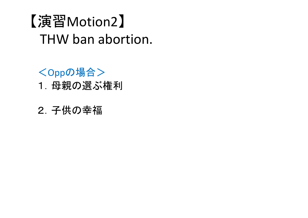## 【演習Motion2】 THW ban abortion.

<Oppの場合>

1.母親の選ぶ権利

2.子供の幸福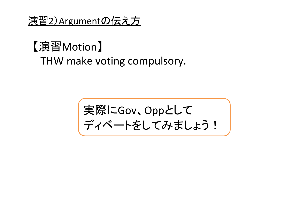#### 演習2)Argumentの伝え方

### 【演習Motion】 THW make voting compulsory.

実際にGov、Oppとして ディベートをしてみましょう!